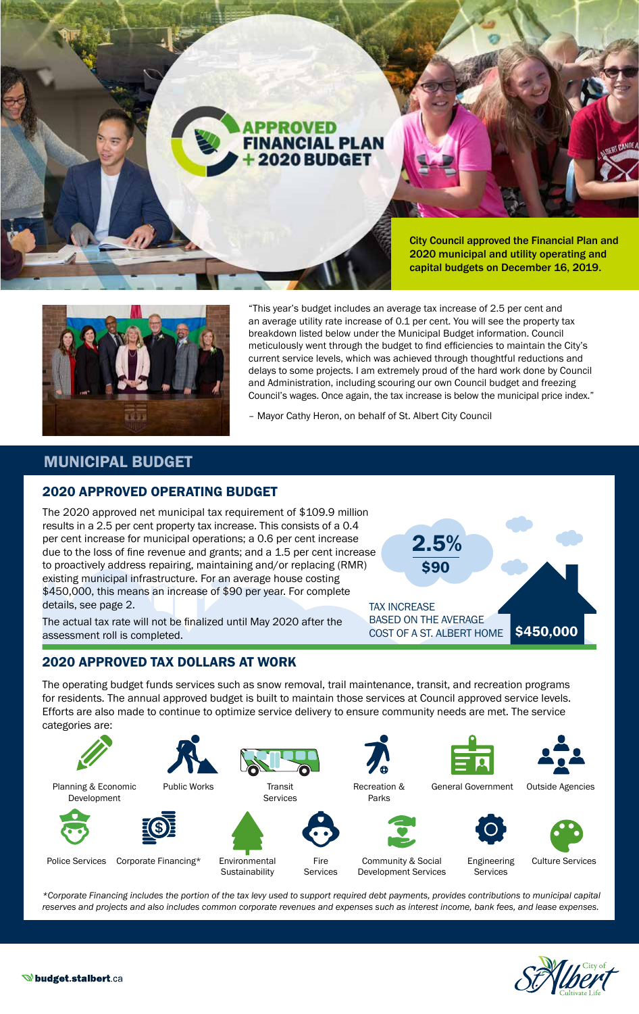



"This year's budget includes an average tax increase of 2.5 per cent and an average utility rate increase of 0.1 per cent. You will see the property tax breakdown listed below under the Municipal Budget information. Council meticulously went through the budget to find efficiencies to maintain the City's current service levels, which was achieved through thoughtful reductions and delays to some projects. I am extremely proud of the hard work done by Council and Administration, including scouring our own Council budget and freezing Council's wages. Once again, the tax increase is below the municipal price index."

– Mayor Cathy Heron, on behalf of St. Albert City Council

## MUNICIPAL BUDGET

### 2020 APPROVED OPERATING BUDGET

The 2020 approved net municipal tax requirement of \$109.9 million results in a 2.5 per cent property tax increase. This consists of a 0.4 per cent increase for municipal operations; a 0.6 per cent increase due to the loss of fine revenue and grants; and a 1.5 per cent increase to proactively address repairing, maintaining and/or replacing (RMR) existing municipal infrastructure. For an average house costing \$450,000, this means an increase of \$90 per year. For complete details, see page 2.

The actual tax rate will not be finalized until May 2020 after the assessment roll is completed.

### 2020 APPROVED TAX DOLLARS AT WORK



The operating budget funds services such as snow removal, trail maintenance, transit, and recreation programs for residents. The annual approved budget is built to maintain those services at Council approved service levels. Efforts are also made to continue to optimize service delivery to ensure community needs are met. The service categories are:



*\*Corporate Financing includes the portion of the tax levy used to support required debt payments, provides contributions to municipal capital reserves and projects and also includes common corporate revenues and expenses such as interest income, bank fees, and lease expenses.*

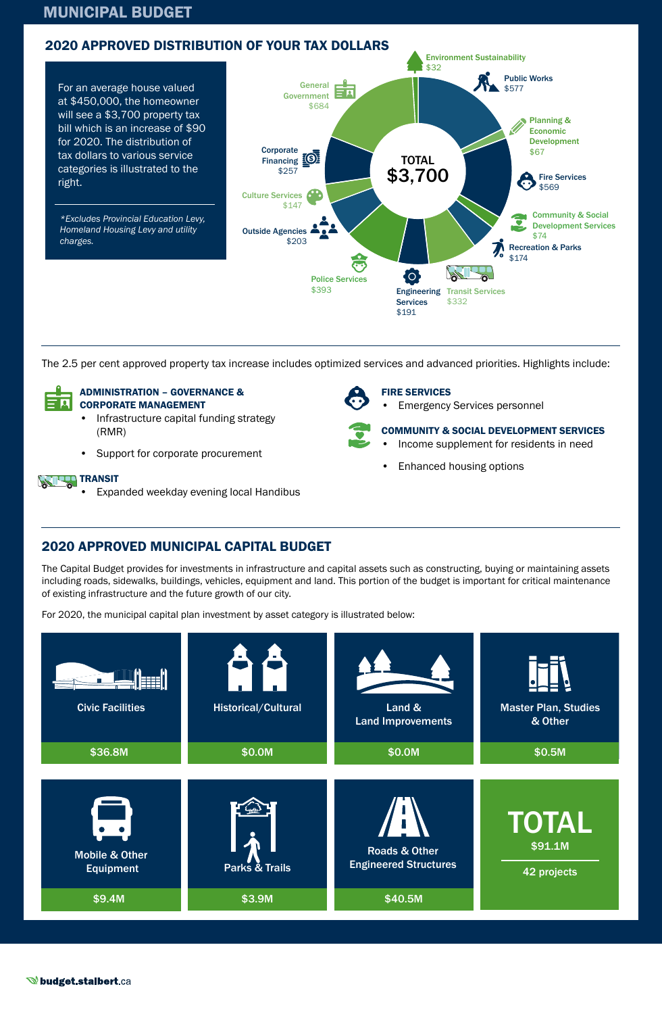## MUNICIPAL BUDGET



The 2.5 per cent approved property tax increase includes optimized services and advanced priorities. Highlights include:



### ADMINISTRATION – GOVERNANCE & CORPORATE MANAGEMENT

- Infrastructure capital funding strategy (RMR)
- Support for corporate procurement

### **TRANSIT**

• Expanded weekday evening local Handibus

### FIRE SERVICES

**Emergency Services personnel** 



COMMUNITY & SOCIAL DEVELOPMENT SERVICES

- Income supplement for residents in need
- Enhanced housing options

# 2020 APPROVED MUNICIPAL CAPITAL BUDGET

The Capital Budget provides for investments in infrastructure and capital assets such as constructing, buying or maintaining assets including roads, sidewalks, buildings, vehicles, equipment and land. This portion of the budget is important for critical maintenance of existing infrastructure and the future growth of our city.

For 2020, the municipal capital plan investment by asset category is illustrated below: